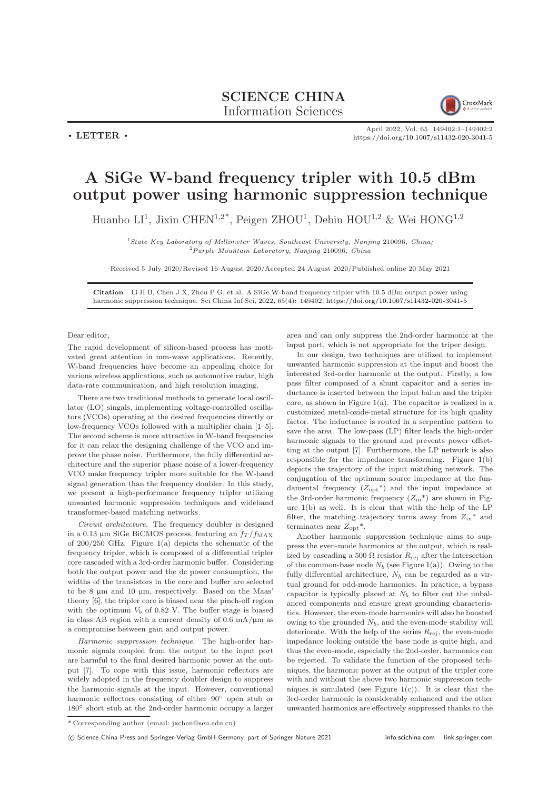## SCIENCE CHINA Information Sciences



 $\cdot$  LETTER  $\cdot$ 

April 2022, Vol. 65 149402:1–149402[:2](#page-1-0) <https://doi.org/10.1007/s11432-020-3041-5>

## A SiGe W-band frequency tripler with 10.5 dBm output power using harmonic suppression technique

Huanbo LI<sup>1</sup>, Jixin CHEN<sup>1,2\*</sup>, Peigen ZHOU<sup>1</sup>, Debin HOU<sup>1,2</sup> & Wei HONG<sup>1,2</sup>

<sup>1</sup>State Key Laboratory of Millimeter Waves, Southeast University, Nanjing 210096, China; <sup>2</sup>Purple Mountain Laboratory, Nanjing 210096, China

Received 5 July 2020/Revised 16 August 2020/Accepted 24 August 2020/Published online 20 May 2021

Citation Li H B, Chen J X, Zhou P G, et al. A SiGe W-band frequency tripler with 10.5 dBm output power using harmonic suppression technique. Sci China Inf Sci, 2022, 65(4): 149402, <https://doi.org/10.1007/s11432-020-3041-5>

## Dear editor,

The rapid development of silicon-based process has motivated great attention in mm-wave applications. Recently, W-band frequencies have become an appealing choice for various wireless applications, such as automotive radar, high data-rate communication, and high resolution imaging.

There are two traditional methods to generate local oscillator (LO) singals, implementing voltage-controlled oscillators (VCOs) operating at the desired frequencies directly or low-frequency VCOs followed with a multiplier chain [\[1–](#page-1-1)[5\]](#page-1-2). The second scheme is more attractive in W-band frequencies for it can relax the designing challenge of the VCO and improve the phase noise. Furthermore, the fully differential architecture and the superior phase noise of a lower-frequency VCO make frequency tripler more suitable for the W-band signal generation than the frequency doubler. In this study, we present a high-performance frequency tripler utilizing unwanted harmonic suppression techniques and wideband transformer-based matching networks.

Circuit architecture. The frequency doubler is designed in a 0.13 µm SiGe BiCMOS process, featuring an  $f_T/f_{MAX}$ of  $200/250$  GHz. Figure [1\(](#page-1-3)a) depicts the schematic of the frequency tripler, which is composed of a differential tripler core cascaded with a 3rd-order harmonic buffer. Considering both the output power and the dc power consumption, the widths of the transistors in the core and buffer are selected to be 8 µm and 10 µm, respectively. Based on the Maas' theory [\[6\]](#page-1-4), the tripler core is biased near the pinch-off region with the optimum  $V_b$  of 0.82 V. The buffer stage is biased in class AB region with a current density of  $0.6 \text{ mA}/\mu\text{m}$  as a compromise between gain and output power.

Harmonic suppression technique. The high-order harmonic signals coupled from the output to the input port are harmful to the final desired harmonic power at the output [\[7\]](#page-1-5). To cope with this issue, harmonic reflectors are widely adopted in the frequency doubler design to suppress the harmonic signals at the input. However, conventional harmonic reflectors consisting of either 90◦ open stub or 180◦ short stub at the 2nd-order harmonic occupy a larger

area and can only suppress the 2nd-order harmonic at the input port, which is not appropriate for the triper design.

In our design, two techniques are utilized to implement unwanted harmonic suppression at the input and boost the interested 3rd-order harmonic at the output. Firstly, a low pass filter composed of a shunt capacitor and a series inductance is inserted between the input balun and the tripler core, as shown in Figure  $1(a)$  $1(a)$ . The capacitor is realized in a customized metal-oxide-metal structure for its high quality factor. The inductance is routed in a serpentine pattern to save the area. The low-pass (LP) filter leads the high-order harmonic signals to the ground and prevents power offsetting at the output [\[7\]](#page-1-5). Furthermore, the LP network is also responsible for the impedance transforming. Figure [1\(](#page-1-3)b) depicts the trajectory of the input matching network. The conjugation of the optimum source impedance at the fundamental frequency  $(Z_{opt}^*)$  and the input impedance at the 3rd-order harmonic frequency  $(Z_{\text{in}}^*)$  are shown in Figure [1\(](#page-1-3)b) as well. It is clear that with the help of the LP filter, the matching trajectory turns away from  $Z_{\text{in}}^*$  and terminates near  $Z_{\text{opt}}^*$ .

Another harmonic suppression technique aims to suppress the even-mode harmonics at the output, which is realized by cascading a 500  $\Omega$  resistor  $R_{\text{rej}}$  after the intersection of the common-base node  $N_b$  (see Figure [1\(](#page-1-3)a)). Owing to the fully differential architecture,  $N_b$  can be regarded as a virtual ground for odd-mode harmonics. In practice, a bypass capacitor is typically placed at  $N_b$  to filter out the unbalanced components and ensure great grounding characteristics. However, the even-mode harmonics will also be boosted owing to the grounded  $N_b$ , and the even-mode stability will deteriorate. With the help of the series  $R_{\text{rei}}$ , the even-mode impedance looking outside the base node is quite high, and thus the even-mode, especially the 2nd-order, harmonics can be rejected. To validate the function of the proposed techniques, the harmonic power at the output of the tripler core with and without the above two harmonic suppression techniques is simulated (see Figure  $1(c)$  $1(c)$ ). It is clear that the 3rd-order harmonic is considerably enhanced and the other unwanted harmonics are effectively suppressed thanks to the

<sup>\*</sup> Corresponding author (email: jxchen@seu.edu.cn)

<sup>(</sup>C) Science China Press and Springer-Verlag GmbH Germany, part of Springer Nature 2021 <info.scichina.com><link.springer.com>